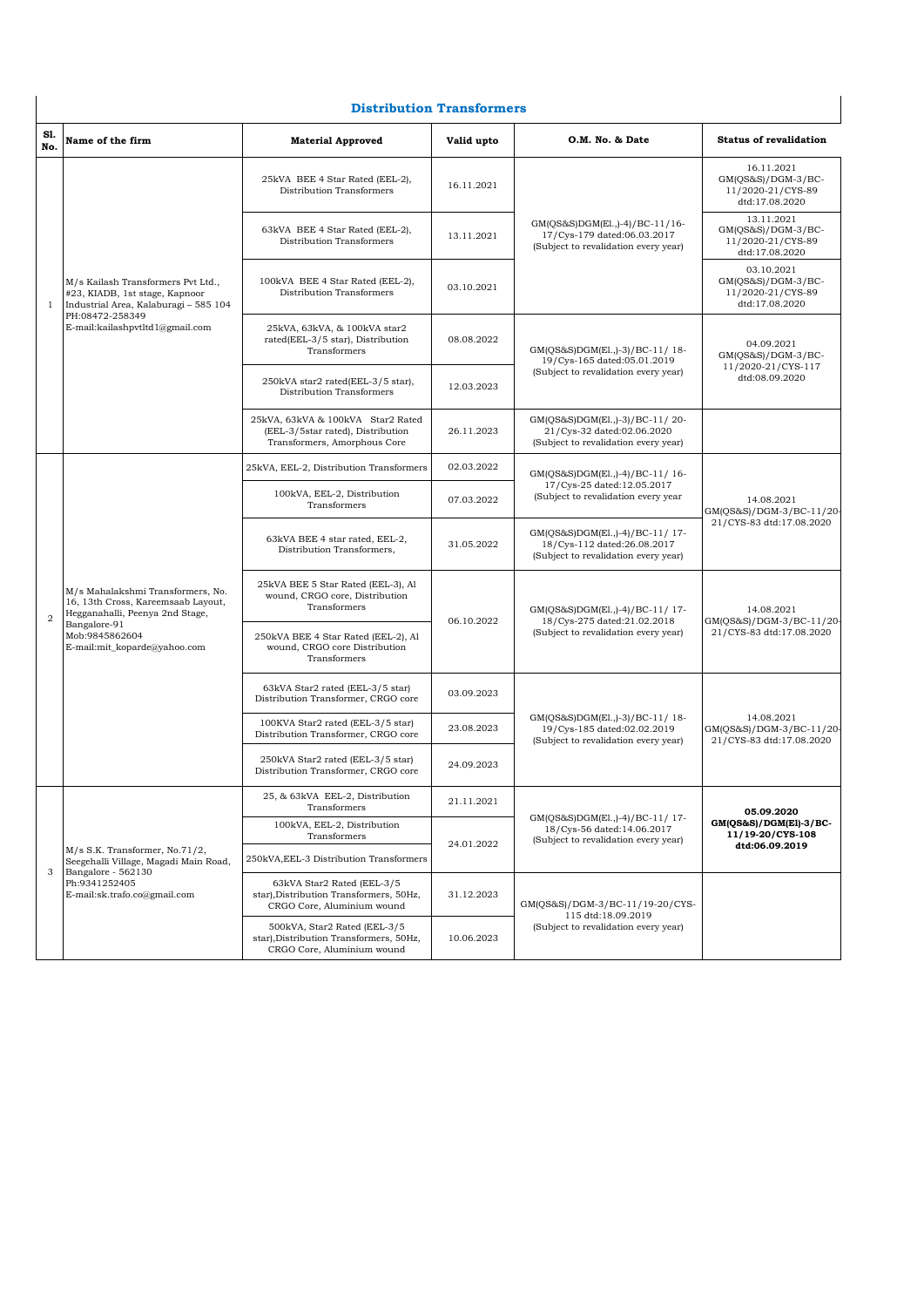## **Distribution Transformers**

| S1.<br>No.     | Name of the firm                                                                                                                                                                                                                                                                                                                                                                                                                                                                                                                                                                                                                                                                                                                                          | <b>Material Approved</b>                                                                               | Valid upto                                | O.M. No. & Date                                                                                       | <b>Status of revalidation</b>                                             |
|----------------|-----------------------------------------------------------------------------------------------------------------------------------------------------------------------------------------------------------------------------------------------------------------------------------------------------------------------------------------------------------------------------------------------------------------------------------------------------------------------------------------------------------------------------------------------------------------------------------------------------------------------------------------------------------------------------------------------------------------------------------------------------------|--------------------------------------------------------------------------------------------------------|-------------------------------------------|-------------------------------------------------------------------------------------------------------|---------------------------------------------------------------------------|
|                | M/s Kailash Transformers Pvt Ltd.,<br>#23, KIADB, 1st stage, Kapnoor<br>Industrial Area, Kalaburagi - 585 104                                                                                                                                                                                                                                                                                                                                                                                                                                                                                                                                                                                                                                             | 25kVA BEE 4 Star Rated (EEL-2),<br>Distribution Transformers                                           | 16.11.2021                                | GM(QS&S)DGM(El.,)-4)/BC-11/16-<br>17/Cys-179 dated:06.03.2017<br>(Subject to revalidation every year) | 16.11.2021<br>GM(QS&S)/DGM-3/BC-<br>11/2020-21/CYS-89<br>dtd:17.08.2020   |
|                |                                                                                                                                                                                                                                                                                                                                                                                                                                                                                                                                                                                                                                                                                                                                                           | 63kVA BEE 4 Star Rated (EEL-2),<br>Distribution Transformers                                           | 13.11.2021                                |                                                                                                       | 13.11.2021<br>$GM(QS&S)/DGM-3/BC-$<br>11/2020-21/CYS-89<br>dtd:17.08.2020 |
| 1              |                                                                                                                                                                                                                                                                                                                                                                                                                                                                                                                                                                                                                                                                                                                                                           | 100kVA BEE 4 Star Rated (EEL-2),<br>Distribution Transformers                                          | 03.10.2021                                |                                                                                                       | 03.10.2021<br>GM(QS&S)/DGM-3/BC-<br>11/2020-21/CYS-89<br>dtd:17.08.2020   |
|                | PH:08472-258349<br>E-mail:kailashpvtltd1@gmail.com                                                                                                                                                                                                                                                                                                                                                                                                                                                                                                                                                                                                                                                                                                        | 25kVA, 63kVA, & 100kVA star2<br>rated(EEL-3/5 star), Distribution<br>Transformers                      | 08.08.2022                                | GM(QS&S)DGM(El.,)-3)/BC-11/18-<br>19/Cys-165 dated:05.01.2019                                         | 04.09.2021<br>$GM(QS&S)/DGM-3/BC-$                                        |
|                |                                                                                                                                                                                                                                                                                                                                                                                                                                                                                                                                                                                                                                                                                                                                                           | 250kVA star2 rated(EEL-3/5 star),<br>Distribution Transformers                                         | 12.03.2023                                | (Subject to revalidation every year)                                                                  | 11/2020-21/CYS-117<br>dtd:08.09.2020                                      |
|                |                                                                                                                                                                                                                                                                                                                                                                                                                                                                                                                                                                                                                                                                                                                                                           | 25kVA, 63kVA & 100kVA Star2 Rated<br>(EEL-3/5star rated), Distribution<br>Transformers, Amorphous Core | 26.11.2023                                | GM(QS&S)DGM(El.,)-3)/BC-11/20-<br>21/Cys-32 dated:02.06.2020<br>(Subject to revalidation every year)  |                                                                           |
|                | 25kVA, EEL-2, Distribution Transformers<br>100kVA, EEL-2, Distribution<br>Transformers<br>63kVA BEE 4 star rated, EEL-2,<br>Distribution Transformers,<br>25kVA BEE 5 Star Rated (EEL-3), Al<br>M/s Mahalakshmi Transformers, No.<br>wound, CRGO core, Distribution<br>16, 13th Cross, Kareemsaab Layout,<br>Transformers<br>Hegganahalli, Peenya 2nd Stage,<br>Bangalore-91<br>Mob:9845862604<br>250kVA BEE 4 Star Rated (EEL-2), Al<br>E-mail:mit_koparde@yahoo.com<br>wound, CRGO core Distribution<br>Transformers<br>63kVA Star2 rated (EEL-3/5 star)<br>Distribution Transformer, CRGO core<br>100KVA Star2 rated (EEL-3/5 star)<br>Distribution Transformer, CRGO core<br>250kVA Star2 rated (EEL-3/5 star)<br>Distribution Transformer, CRGO core |                                                                                                        | 02.03.2022                                | GM(QS&S)DGM(El.,)-4)/BC-11/16-<br>17/Cys-25 dated:12.05.2017<br>(Subject to revalidation every year   |                                                                           |
|                |                                                                                                                                                                                                                                                                                                                                                                                                                                                                                                                                                                                                                                                                                                                                                           |                                                                                                        | 07.03.2022                                |                                                                                                       | 14.08.2021<br>GM(QS&S)/DGM-3/BC-11/20-                                    |
|                |                                                                                                                                                                                                                                                                                                                                                                                                                                                                                                                                                                                                                                                                                                                                                           |                                                                                                        | 31.05.2022                                | GM(QS&S)DGM(El.,)-4)/BC-11/17-<br>18/Cys-112 dated:26.08.2017<br>(Subject to revalidation every year) | 21/CYS-83 dtd:17.08.2020                                                  |
| $\overline{2}$ |                                                                                                                                                                                                                                                                                                                                                                                                                                                                                                                                                                                                                                                                                                                                                           |                                                                                                        | 06.10.2022<br>18/Cys-275 dated:21.02.2018 | GM(QS&S)DGM(El.,)-4)/BC-11/17-                                                                        | 14.08.2021<br>GM(QS&S)/DGM-3/BC-11/20-<br>21/CYS-83 dtd:17.08.2020        |
|                |                                                                                                                                                                                                                                                                                                                                                                                                                                                                                                                                                                                                                                                                                                                                                           |                                                                                                        |                                           | (Subject to revalidation every year)                                                                  |                                                                           |
|                |                                                                                                                                                                                                                                                                                                                                                                                                                                                                                                                                                                                                                                                                                                                                                           |                                                                                                        | 03.09.2023                                |                                                                                                       |                                                                           |
|                |                                                                                                                                                                                                                                                                                                                                                                                                                                                                                                                                                                                                                                                                                                                                                           |                                                                                                        | 23.08.2023                                | GM(QS&S)DGM(El.,)-3)/BC-11/18-<br>19/Cys-185 dated:02.02.2019<br>(Subject to revalidation every year) | 14.08.2021<br>GM(QS&S)/DGM-3/BC-11/20-<br>21/CYS-83 dtd:17.08.2020        |
|                |                                                                                                                                                                                                                                                                                                                                                                                                                                                                                                                                                                                                                                                                                                                                                           | 24.09.2023                                                                                             |                                           |                                                                                                       |                                                                           |
|                |                                                                                                                                                                                                                                                                                                                                                                                                                                                                                                                                                                                                                                                                                                                                                           | 25, & 63kVA EEL-2, Distribution<br>Transformers                                                        | 21.11.2021                                |                                                                                                       | 05.09.2020                                                                |
| 3              | M/s S.K. Transformer, No.71/2,<br>Seegehalli Village, Magadi Main Road,<br>Bangalore - 562130<br>Ph:9341252405<br>E-mail:sk.trafo.co@gmail.com                                                                                                                                                                                                                                                                                                                                                                                                                                                                                                                                                                                                            | 100kVA, EEL-2, Distribution<br>Transformers                                                            | 24.01.2022                                | GM(QS&S)DGM(El.,)-4)/BC-11/17-<br>18/Cys-56 dated:14.06.2017<br>(Subject to revalidation every year)  | GM(QS&S)/DGM(El)-3/BC-<br>11/19-20/CYS-108                                |
|                |                                                                                                                                                                                                                                                                                                                                                                                                                                                                                                                                                                                                                                                                                                                                                           | 250kVA, EEL-3 Distribution Transformers                                                                |                                           |                                                                                                       | dtd:06.09.2019                                                            |
|                |                                                                                                                                                                                                                                                                                                                                                                                                                                                                                                                                                                                                                                                                                                                                                           | 63kVA Star2 Rated (EEL-3/5<br>star), Distribution Transformers, 50Hz,<br>CRGO Core, Aluminium wound    | 31.12.2023                                | GM(QS&S)/DGM-3/BC-11/19-20/CYS-<br>115 dtd:18.09.2019                                                 |                                                                           |
|                |                                                                                                                                                                                                                                                                                                                                                                                                                                                                                                                                                                                                                                                                                                                                                           | 500kVA, Star2 Rated (EEL-3/5<br>star), Distribution Transformers, 50Hz,<br>CRGO Core, Aluminium wound  | 10.06.2023                                | (Subject to revalidation every year)                                                                  |                                                                           |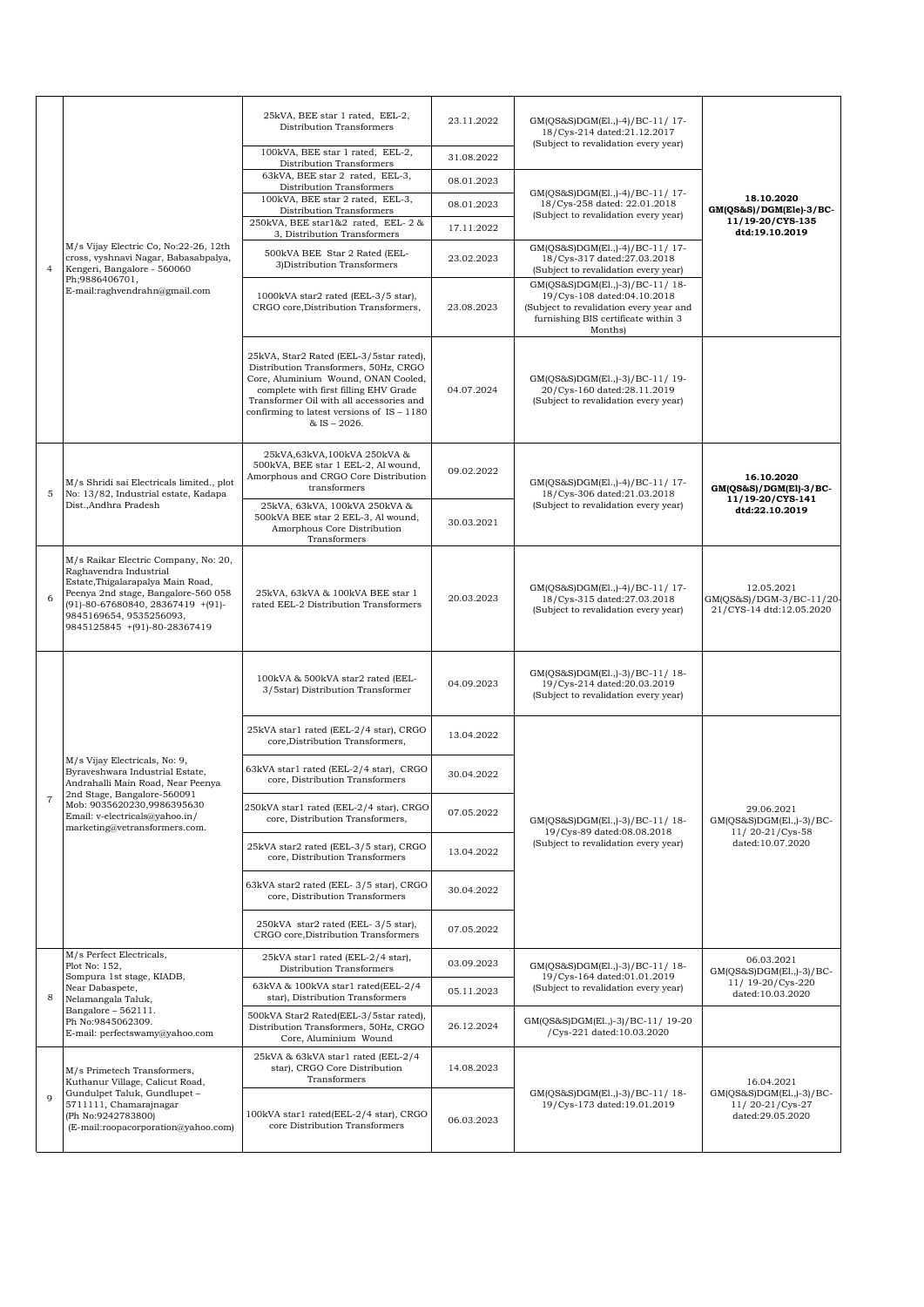| $\overline{4}$ | M/s Vijay Electric Co, No:22-26, 12th<br>cross, vyshnavi Nagar, Babasabpalya,<br>Kengeri, Bangalore - 560060                                                                                                                               | 25kVA, BEE star 1 rated, EEL-2,<br>Distribution Transformers                                                                                                                                                                                                                   | 23.11.2022 | GM(QS&S)DGM(El.,)-4)/BC-11/17-<br>18/Cys-214 dated:21.12.2017<br>(Subject to revalidation every year)                                                      |                                                                    |
|----------------|--------------------------------------------------------------------------------------------------------------------------------------------------------------------------------------------------------------------------------------------|--------------------------------------------------------------------------------------------------------------------------------------------------------------------------------------------------------------------------------------------------------------------------------|------------|------------------------------------------------------------------------------------------------------------------------------------------------------------|--------------------------------------------------------------------|
|                |                                                                                                                                                                                                                                            | 100kVA, BEE star 1 rated, EEL-2,<br>Distribution Transformers                                                                                                                                                                                                                  | 31.08.2022 |                                                                                                                                                            |                                                                    |
|                |                                                                                                                                                                                                                                            | 63kVA, BEE star 2 rated, EEL-3,<br>Distribution Transformers                                                                                                                                                                                                                   | 08.01.2023 | GM(QS&S)DGM(El.,)-4)/BC-11/17-                                                                                                                             |                                                                    |
|                |                                                                                                                                                                                                                                            | 100kVA, BEE star 2 rated, EEL-3,<br>Distribution Transformers                                                                                                                                                                                                                  | 08.01.2023 | 18/Cys-258 dated: 22.01.2018<br>(Subject to revalidation every year)                                                                                       | 18.10.2020<br>GM(QS&S)/DGM(Ele)-3/BC-                              |
|                |                                                                                                                                                                                                                                            | 250kVA, BEE star1&2 rated, EEL-2 &<br>3, Distribution Transformers                                                                                                                                                                                                             | 17.11.2022 |                                                                                                                                                            | 11/19-20/CYS-135<br>dtd:19.10.2019                                 |
|                |                                                                                                                                                                                                                                            | 500kVA BEE Star 2 Rated (EEL-<br>3) Distribution Transformers                                                                                                                                                                                                                  | 23.02.2023 | GM(QS&S)DGM(El.,)-4)/BC-11/17-<br>18/Cys-317 dated:27.03.2018<br>(Subject to revalidation every year)                                                      |                                                                    |
|                | Ph;9886406701,<br>E-mail:raghvendrahn@gmail.com                                                                                                                                                                                            | 1000kVA star2 rated (EEL-3/5 star),<br>CRGO core, Distribution Transformers,                                                                                                                                                                                                   | 23.08.2023 | GM(QS&S)DGM(El.,)-3)/BC-11/18-<br>19/Cys-108 dated:04.10.2018<br>(Subject to revalidation every year and<br>furnishing BIS certificate within 3<br>Months) |                                                                    |
|                |                                                                                                                                                                                                                                            | 25kVA, Star2 Rated (EEL-3/5star rated),<br>Distribution Transformers, 50Hz, CRGO<br>Core, Aluminium Wound, ONAN Cooled,<br>complete with first filling EHV Grade<br>Transformer Oil with all accessories and<br>confirming to latest versions of $IS - 1180$<br>$&$ IS - 2026. | 04.07.2024 | GM(QS&S)DGM(El.,)-3)/BC-11/19-<br>20/Cys-160 dated:28.11.2019<br>(Subject to revalidation every year)                                                      |                                                                    |
| 5              | M/s Shridi sai Electricals limited., plot<br>No: 13/82, Industrial estate, Kadapa                                                                                                                                                          | 25kVA,63kVA,100kVA 250kVA &<br>500kVA, BEE star 1 EEL-2, Al wound,<br>Amorphous and CRGO Core Distribution<br>transformers                                                                                                                                                     | 09.02.2022 | GM(QS&S)DGM(El.,)-4)/BC-11/17-<br>18/Cys-306 dated:21.03.2018                                                                                              | 16.10.2020<br>$GM(QS&S)/DGM(EI)-3/BC-$<br>11/19-20/CYS-141         |
|                | Dist., Andhra Pradesh                                                                                                                                                                                                                      | 25kVA, 63kVA, 100kVA 250kVA &<br>500kVA BEE star 2 EEL-3, Al wound,<br>Amorphous Core Distribution<br>Transformers                                                                                                                                                             | 30.03.2021 | (Subject to revalidation every year)                                                                                                                       | dtd:22.10.2019                                                     |
| 6              | M/s Raikar Electric Company, No: 20,<br>Raghavendra Industrial<br>Estate, Thigalarapalya Main Road,<br>Peenya 2nd stage, Bangalore-560 058<br>(91)-80-67680840, 28367419 +(91)-<br>9845169654, 9535256093,<br>9845125845 +(91)-80-28367419 | 25kVA, 63kVA & 100kVA BEE star 1<br>rated EEL-2 Distribution Transformers                                                                                                                                                                                                      | 20.03.2023 | GM(QS&S)DGM(El.,)-4)/BC-11/17-<br>18/Cys-315 dated:27.03.2018<br>(Subject to revalidation every year)                                                      | 12.05.2021<br>GM(QS&S)/DGM-3/BC-11/20-<br>21/CYS-14 dtd:12.05.2020 |
|                | M/s Vijay Electricals, No: 9,<br>Byraveshwara Industrial Estate,<br>Andrahalli Main Road, Near Peenya<br>2nd Stage, Bangalore-560091<br>Mob: 9035620230,9986395630<br>Email: v-electricals@yahoo.in/<br>marketing@vetransformers.com.      | 100kVA & 500kVA star2 rated (EEL-<br>3/5star) Distribution Transformer                                                                                                                                                                                                         | 04.09.2023 | GM(QS&S)DGM(El.,)-3)/BC-11/18-<br>19/Cys-214 dated:20.03.2019<br>(Subject to revalidation every year)                                                      |                                                                    |
|                |                                                                                                                                                                                                                                            | 25kVA star1 rated (EEL-2/4 star), CRGO<br>core, Distribution Transformers,                                                                                                                                                                                                     | 13.04.2022 |                                                                                                                                                            |                                                                    |
|                |                                                                                                                                                                                                                                            | 63kVA star1 rated (EEL-2/4 star), CRGO<br>core, Distribution Transformers                                                                                                                                                                                                      | 30.04.2022 |                                                                                                                                                            |                                                                    |
| $\overline{7}$ |                                                                                                                                                                                                                                            | 250kVA star1 rated (EEL-2/4 star), CRGO<br>core, Distribution Transformers,                                                                                                                                                                                                    | 07.05.2022 | GM(QS&S)DGM(El.,)-3)/BC-11/18-<br>19/Cys-89 dated:08.08.2018                                                                                               | 29.06.2021<br>$GM(QS&S)DGM(E1.,-3)/BC-$<br>11/20-21/Cys-58         |
|                |                                                                                                                                                                                                                                            | 25kVA star2 rated (EEL-3/5 star), CRGO<br>core, Distribution Transformers                                                                                                                                                                                                      | 13.04.2022 | (Subject to revalidation every year)                                                                                                                       | dated:10.07.2020                                                   |
|                |                                                                                                                                                                                                                                            | 63kVA star2 rated (EEL-3/5 star), CRGO<br>core, Distribution Transformers                                                                                                                                                                                                      | 30.04.2022 |                                                                                                                                                            |                                                                    |
|                |                                                                                                                                                                                                                                            | 250kVA star2 rated (EEL-3/5 star),<br>CRGO core, Distribution Transformers                                                                                                                                                                                                     | 07.05.2022 |                                                                                                                                                            |                                                                    |
| 8              | M/s Perfect Electricals,<br>Plot No: 152,<br>Sompura 1st stage, KIADB,                                                                                                                                                                     | 25kVA star1 rated (EEL-2/4 star),<br>Distribution Transformers<br>63kVA & 100kVA star1 rated(EEL-2/4                                                                                                                                                                           | 03.09.2023 | GM(QS&S)DGM(El.,)-3)/BC-11/18-<br>19/Cvs-164 dated:01.01.2019                                                                                              | 06.03.2021<br>$GM(QS&S)DGM(E1.,-3)/BC-$<br>11/ 19-20/Cys-220       |
|                | Near Dabaspete,<br>Nelamangala Taluk,                                                                                                                                                                                                      | star), Distribution Transformers                                                                                                                                                                                                                                               | 05.11.2023 | (Subject to revalidation every year)                                                                                                                       | dated:10.03.2020                                                   |
|                | Bangalore - 562111.<br>Ph No:9845062309.<br>E-mail: perfectswamy@yahoo.com                                                                                                                                                                 | 500kVA Star2 Rated(EEL-3/5star rated),<br>Distribution Transformers, 50Hz, CRGO<br>Core, Aluminium Wound                                                                                                                                                                       | 26.12.2024 | GM(QS&S)DGM(El.,)-3)/BC-11/ 19-20<br>/Cys-221 dated:10.03.2020                                                                                             |                                                                    |
|                | M/s Primetech Transformers,<br>Kuthanur Village, Calicut Road,                                                                                                                                                                             | 25kVA & 63kVA star1 rated (EEL-2/4<br>star), CRGO Core Distribution<br>Transformers                                                                                                                                                                                            | 14.08.2023 |                                                                                                                                                            | 16.04.2021                                                         |
| $\mathbf{Q}$   | Gundulpet Taluk, Gundlupet -<br>5711111, Chamarajnagar<br>(Ph No:9242783800)<br>(E-mail:roopacorporation@yahoo.com)                                                                                                                        | 100kVA star1 rated(EEL-2/4 star), CRGO<br>core Distribution Transformers                                                                                                                                                                                                       | 06.03.2023 | GM(QS&S)DGM(El.,)-3)/BC-11/18-<br>19/Cys-173 dated:19.01.2019                                                                                              | GM(QS&S)DGM(El.,)-3)/BC-<br>11/20-21/Cys-27<br>dated:29.05.2020    |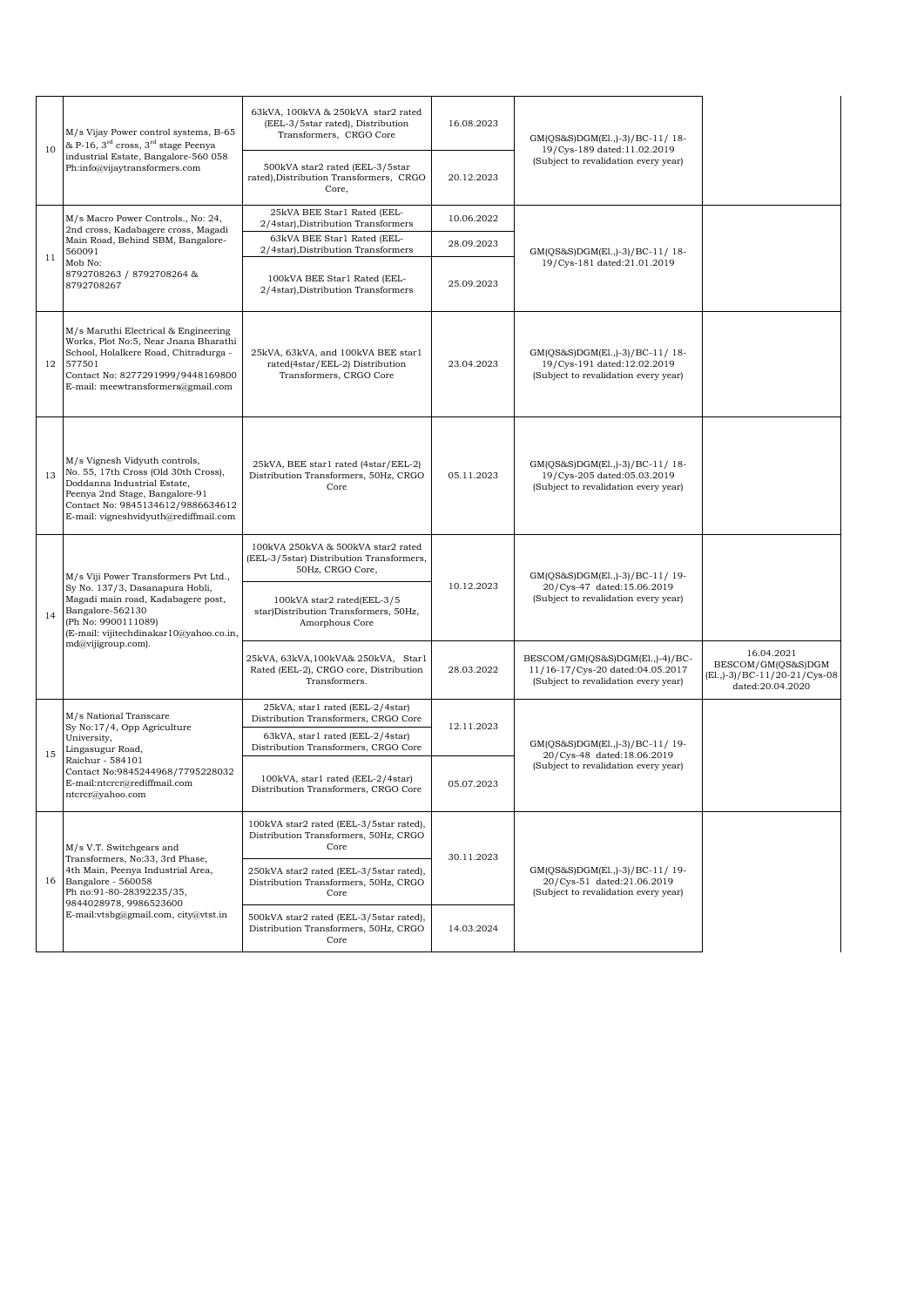| 10 | M/s Vijay Power control systems, B-65<br>& P-16, $3^{\text{rd}}$ cross, $3^{\text{rd}}$ stage Peenya<br>industrial Estate, Bangalore-560 058<br>Ph:info@vijaytransformers.com                                              | 63kVA, 100kVA & 250kVA star2 rated<br>(EEL-3/5star rated), Distribution<br>Transformers, CRGO Core | 16.08.2023 | GM(QS&S)DGM(El.,)-3)/BC-11/18-<br>19/Cys-189 dated:11.02.2019                                                      |                                                                                         |
|----|----------------------------------------------------------------------------------------------------------------------------------------------------------------------------------------------------------------------------|----------------------------------------------------------------------------------------------------|------------|--------------------------------------------------------------------------------------------------------------------|-----------------------------------------------------------------------------------------|
|    |                                                                                                                                                                                                                            | 500kVA star2 rated (EEL-3/5star<br>rated), Distribution Transformers, CRGO<br>Core,                | 20.12.2023 | (Subject to revalidation every year)                                                                               |                                                                                         |
|    | M/s Macro Power Controls., No: 24,<br>2nd cross, Kadabagere cross, Magadi                                                                                                                                                  | 25kVA BEE Star1 Rated (EEL-<br>2/4star), Distribution Transformers                                 | 10.06.2022 |                                                                                                                    |                                                                                         |
| 11 | Main Road, Behind SBM, Bangalore-<br>560091                                                                                                                                                                                | 63kVA BEE Star1 Rated (EEL-<br>2/4star), Distribution Transformers                                 | 28.09.2023 | GM(QS&S)DGM(El.,)-3)/BC-11/18-                                                                                     |                                                                                         |
|    | Mob No:<br>8792708263 / 8792708264 &<br>8792708267                                                                                                                                                                         | 100kVA BEE Star1 Rated (EEL-<br>2/4star), Distribution Transformers                                | 25.09.2023 | 19/Cys-181 dated:21.01.2019                                                                                        |                                                                                         |
| 12 | M/s Maruthi Electrical & Engineering<br>Works, Plot No:5, Near Jnana Bharathi<br>School, Holalkere Road, Chitradurga -<br>577501<br>Contact No: 8277291999/9448169800<br>E-mail: meewtransformers@gmail.com                | 25kVA, 63kVA, and 100kVA BEE star1<br>rated(4star/EEL-2) Distribution<br>Transformers, CRGO Core   | 23.04.2023 | GM(QS&S)DGM(El.,)-3)/BC-11/18-<br>19/Cys-191 dated:12.02.2019<br>(Subject to revalidation every year)              |                                                                                         |
| 13 | M/s Vignesh Vidyuth controls,<br>No. 55, 17th Cross (Old 30th Cross),<br>Doddanna Industrial Estate,<br>Peenya 2nd Stage, Bangalore-91<br>Contact No: 9845134612/9886634612<br>E-mail: vigneshvidyuth@rediffmail.com       | 25kVA, BEE star1 rated (4star/EEL-2)<br>Distribution Transformers, 50Hz, CRGO<br>Core              | 05.11.2023 | GM(QS&S)DGM(El.,)-3)/BC-11/18-<br>19/Cys-205 dated:05.03.2019<br>(Subject to revalidation every year)              |                                                                                         |
|    | M/s Viji Power Transformers Pvt Ltd.,<br>Sy No. 137/3, Dasanapura Hobli,<br>Magadi main road, Kadabagere post,<br>Bangalore-562130<br>(Ph No: 9900111089)<br>(E-mail: vijitechdinakar10@yahoo.co.in,<br>md@vijigroup.com). | 100kVA 250kVA & 500kVA star2 rated<br>(EEL-3/5star) Distribution Transformers,<br>50Hz, CRGO Core, |            | GM(QS&S)DGM(El.,)-3)/BC-11/19-<br>10.12.2023<br>20/Cys-47 dated:15.06.2019<br>(Subject to revalidation every year) |                                                                                         |
| 14 |                                                                                                                                                                                                                            | 100kVA star2 rated(EEL-3/5<br>star)Distribution Transformers, 50Hz,<br>Amorphous Core              |            |                                                                                                                    |                                                                                         |
|    |                                                                                                                                                                                                                            | 25kVA, 63kVA, 100kVA& 250kVA, Star1<br>Rated (EEL-2), CRGO core, Distribution<br>Transformers.     | 28.03.2022 | BESCOM/GM(QS&S)DGM(El.,)-4)/BC-<br>11/16-17/Cys-20 dated:04.05.2017<br>(Subject to revalidation every year)        | 16.04.2021<br>BESCOM/GM(QS&S)DGM<br>(El., )-3) / BC-11/20-21/Cys-08<br>dated:20.04.2020 |
|    | M/s National Transcare<br>Sy No:17/4, Opp Agriculture<br>University,<br>Lingasugur Road,<br>Raichur - 584101<br>Contact No:9845244968/7795228032<br>E-mail:ntcrcr@rediffmail.com<br>ntcrcr@yahoo.com                       | 25kVA, star1 rated (EEL-2/4star)<br>Distribution Transformers, CRGO Core                           | 12.11.2023 |                                                                                                                    |                                                                                         |
|    |                                                                                                                                                                                                                            | 63kVA, star1 rated (EEL-2/4star)<br>Distribution Transformers, CRGO Core                           |            | GM(QS&S)DGM(El.,)-3)/BC-11/19-<br>20/Cys-48 dated:18.06.2019                                                       |                                                                                         |
| 15 |                                                                                                                                                                                                                            | 100kVA, star1 rated (EEL-2/4star)<br>Distribution Transformers, CRGO Core                          | 05.07.2023 | (Subject to revalidation every year)                                                                               |                                                                                         |
| 16 | M/s V.T. Switchgears and<br>Transformers, No:33, 3rd Phase,<br>4th Main. Peenva Industrial Area.<br>Bangalore - 560058<br>Ph no:91-80-28392235/35,<br>9844028978, 9986523600<br>E-mail:vtsbg@gmail.com, city@vtst.in       | 100kVA star2 rated (EEL-3/5star rated),<br>Distribution Transformers, 50Hz, CRGO<br>Core           | 30.11.2023 | GM(OS&S)DGM(El.,)-3)/BC-11/19-<br>20/Cys-51 dated:21.06.2019<br>(Subject to revalidation every year)               |                                                                                         |
|    |                                                                                                                                                                                                                            | 250kVA star2 rated (EEL-3/5star rated),<br>Distribution Transformers, 50Hz, CRGO<br>Core           |            |                                                                                                                    |                                                                                         |
|    |                                                                                                                                                                                                                            | 500kVA star2 rated (EEL-3/5star rated),<br>Distribution Transformers, 50Hz, CRGO<br>Core           | 14.03.2024 |                                                                                                                    |                                                                                         |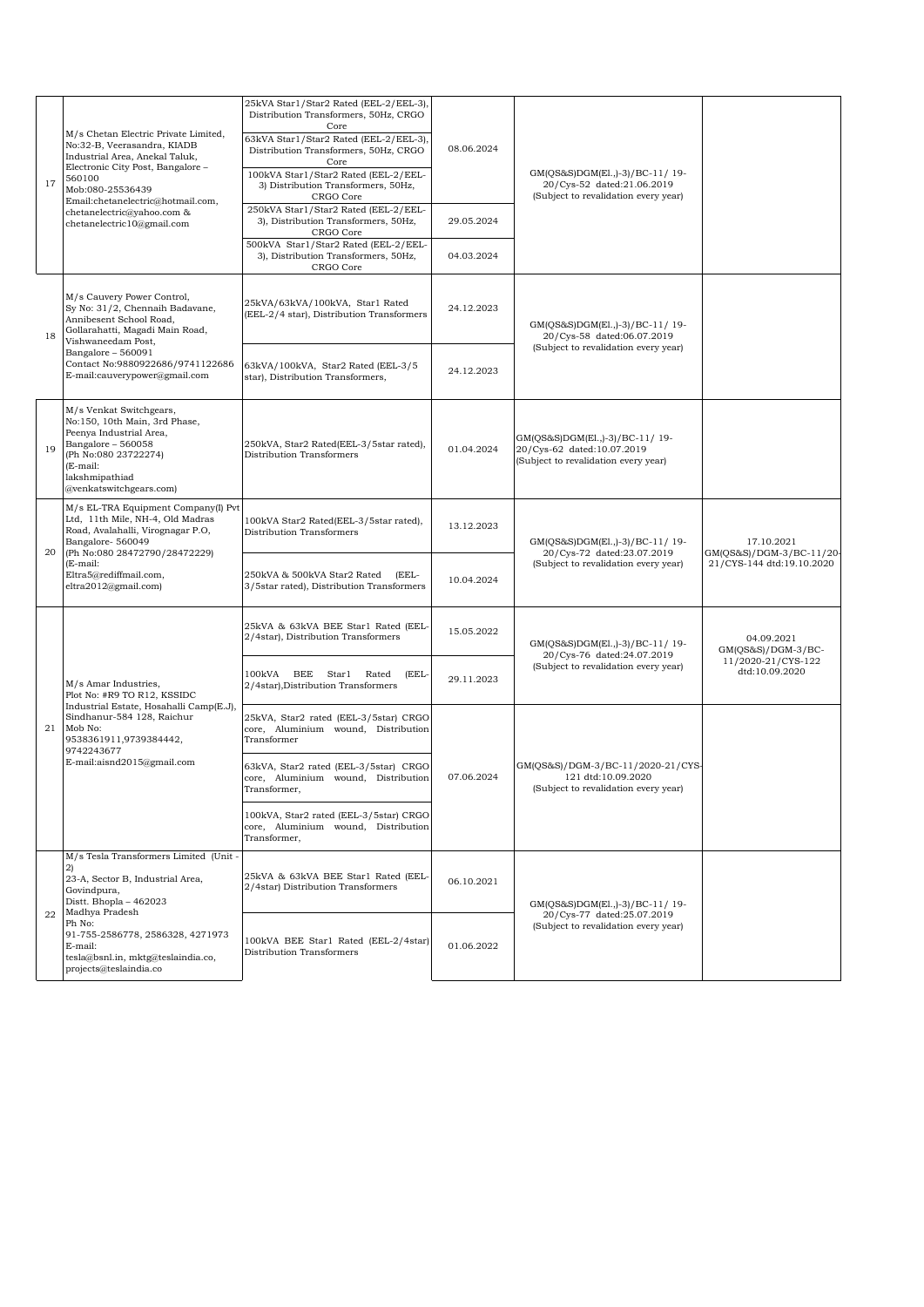| 560100<br>17 | M/s Chetan Electric Private Limited,<br>No:32-B, Veerasandra, KIADB<br>Industrial Area, Anekal Taluk,<br>Electronic City Post, Bangalore -<br>Mob:080-25536439<br>Email:chetanelectric@hotmail.com,                             | 25kVA Star1/Star2 Rated (EEL-2/EEL-3)<br>Distribution Transformers, 50Hz, CRGO<br>Core<br>63kVA Star1/Star2 Rated (EEL-2/EEL-3),<br>Distribution Transformers, 50Hz, CRGO<br>Core<br>100kVA Star1/Star2 Rated (EEL-2/EEL-<br>3) Distribution Transformers, 50Hz,<br>CRGO Core | 08.06.2024               | GM(QS&S)DGM(El.,)-3)/BC-11/19-<br>20/Cys-52 dated:21.06.2019<br>(Subject to revalidation every year) |                                        |
|--------------|---------------------------------------------------------------------------------------------------------------------------------------------------------------------------------------------------------------------------------|-------------------------------------------------------------------------------------------------------------------------------------------------------------------------------------------------------------------------------------------------------------------------------|--------------------------|------------------------------------------------------------------------------------------------------|----------------------------------------|
|              | chetanelectric@yahoo.com &<br>chetanelectric10@gmail.com                                                                                                                                                                        | 250kVA Star1/Star2 Rated (EEL-2/EEL-<br>3), Distribution Transformers, 50Hz,<br>CRGO Core<br>500kVA Star1/Star2 Rated (EEL-2/EEL-<br>3), Distribution Transformers, 50Hz,                                                                                                     | 29.05.2024<br>04.03.2024 |                                                                                                      |                                        |
|              | M/s Cauvery Power Control,                                                                                                                                                                                                      | CRGO Core                                                                                                                                                                                                                                                                     |                          |                                                                                                      |                                        |
| 18           | Sy No: 31/2, Chennaih Badavane,<br>Annibesent School Road,<br>Gollarahatti, Magadi Main Road,<br>Vishwaneedam Post,                                                                                                             | 25kVA/63kVA/100kVA, Star1 Rated<br>(EEL-2/4 star), Distribution Transformers                                                                                                                                                                                                  | 24.12.2023               | GM(QS&S)DGM(El.,)-3)/BC-11/19-<br>20/Cys-58 dated:06.07.2019                                         |                                        |
|              | Bangalore - 560091<br>Contact No:9880922686/9741122686<br>E-mail:cauverypower@gmail.com                                                                                                                                         | 63kVA/100kVA, Star2 Rated (EEL-3/5<br>star), Distribution Transformers,                                                                                                                                                                                                       | 24.12.2023               | (Subject to revalidation every year)                                                                 |                                        |
| 19           | M/s Venkat Switchgears,<br>No:150, 10th Main, 3rd Phase,<br>Peenya Industrial Area,<br>Bangalore - 560058<br>(Ph No:080 23722274)<br>(E-mail:<br>lakshmipathiad<br>@venkatswitchgears.com)                                      | 250kVA, Star2 Rated(EEL-3/5star rated),<br>Distribution Transformers                                                                                                                                                                                                          | 01.04.2024               | GM(QS&S)DGM(El.,)-3)/BC-11/19-<br>20/Cys-62 dated:10.07.2019<br>(Subject to revalidation every year) |                                        |
| 20           | M/s EL-TRA Equipment Company(I) Pvt<br>Ltd, 11th Mile, NH-4, Old Madras<br>Road, Avalahalli, Virognagar P.O,<br>Bangalore-560049<br>(Ph No:080 28472790/28472229)<br>(E-mail:<br>Eltra5@rediffmail.com,<br>eltra2012@gmail.com) | 100kVA Star2 Rated(EEL-3/5star rated),<br>Distribution Transformers                                                                                                                                                                                                           | 13.12.2023               | GM(QS&S)DGM(El.,)-3)/BC-11/19-<br>20/Cys-72 dated:23.07.2019                                         | 17.10.2021<br>GM(QS&S)/DGM-3/BC-11/20- |
|              |                                                                                                                                                                                                                                 | 250kVA & 500kVA Star2 Rated<br>(EEL-<br>3/5star rated), Distribution Transformers                                                                                                                                                                                             | 10.04.2024               | (Subject to revalidation every year)                                                                 | 21/CYS-144 dtd:19.10.2020              |
|              | M/s Amar Industries,<br>Plot No: #R9 TO R12, KSSIDC<br>Industrial Estate, Hosahalli Camp(E.J),<br>Sindhanur-584 128, Raichur<br>Mob No:<br>9538361911,9739384442,<br>9742243677<br>E-mail:aisnd2015@gmail.com                   | 25kVA & 63kVA BEE Star1 Rated (EEL-<br>2/4star), Distribution Transformers                                                                                                                                                                                                    | 15.05.2022               | GM(QS&S)DGM(El.,)-3)/BC-11/ 19-<br>20/Cys-76 dated:24.07.2019                                        | 04.09.2021<br>$GM(QS&S)/DGM-3/BC-$     |
|              |                                                                                                                                                                                                                                 | BEE<br>100kVA<br>Star1<br>Rated<br>(EEL-<br>2/4star), Distribution Transformers                                                                                                                                                                                               | 29.11.2023               | (Subject to revalidation every year)                                                                 | 11/2020-21/CYS-122<br>dtd:10.09.2020   |
| 21           |                                                                                                                                                                                                                                 | 25kVA, Star2 rated (EEL-3/5star) CRGO<br>core, Aluminium wound, Distribution<br>Transformer                                                                                                                                                                                   | 07.06.2024               |                                                                                                      |                                        |
|              |                                                                                                                                                                                                                                 | 63kVA, Star2 rated (EEL-3/5star) CRGO<br>core, Aluminium wound, Distribution<br>Transformer,                                                                                                                                                                                  |                          | GM(QS&S)/DGM-3/BC-11/2020-21/CYS-<br>121 dtd:10.09.2020<br>(Subject to revalidation every year)      |                                        |
|              |                                                                                                                                                                                                                                 | 100kVA, Star2 rated (EEL-3/5star) CRGO<br>core, Aluminium wound, Distribution<br>Transformer,                                                                                                                                                                                 |                          |                                                                                                      |                                        |
| 22           | M/s Tesla Transformers Limited (Unit -<br>21                                                                                                                                                                                    |                                                                                                                                                                                                                                                                               |                          |                                                                                                      |                                        |
|              | 23-A, Sector B, Industrial Area,<br>Govindpura,<br>Distt. Bhopla - 462023<br>Madhya Pradesh<br>Ph No:<br>91-755-2586778, 2586328, 4271973<br>E-mail:<br>tesla@bsnl.in, mktg@teslaindia.co,<br>projects@teslaindia.co            | 25kVA & 63kVA BEE Star1 Rated (EEL-<br>2/4star) Distribution Transformers                                                                                                                                                                                                     | 06.10.2021               | GM(QS&S)DGM(El.,)-3)/BC-11/19-<br>20/Cys-77 dated:25.07.2019                                         |                                        |
|              |                                                                                                                                                                                                                                 | 100kVA BEE Star1 Rated (EEL-2/4star)<br>Distribution Transformers                                                                                                                                                                                                             | 01.06.2022               | (Subject to revalidation every year)                                                                 |                                        |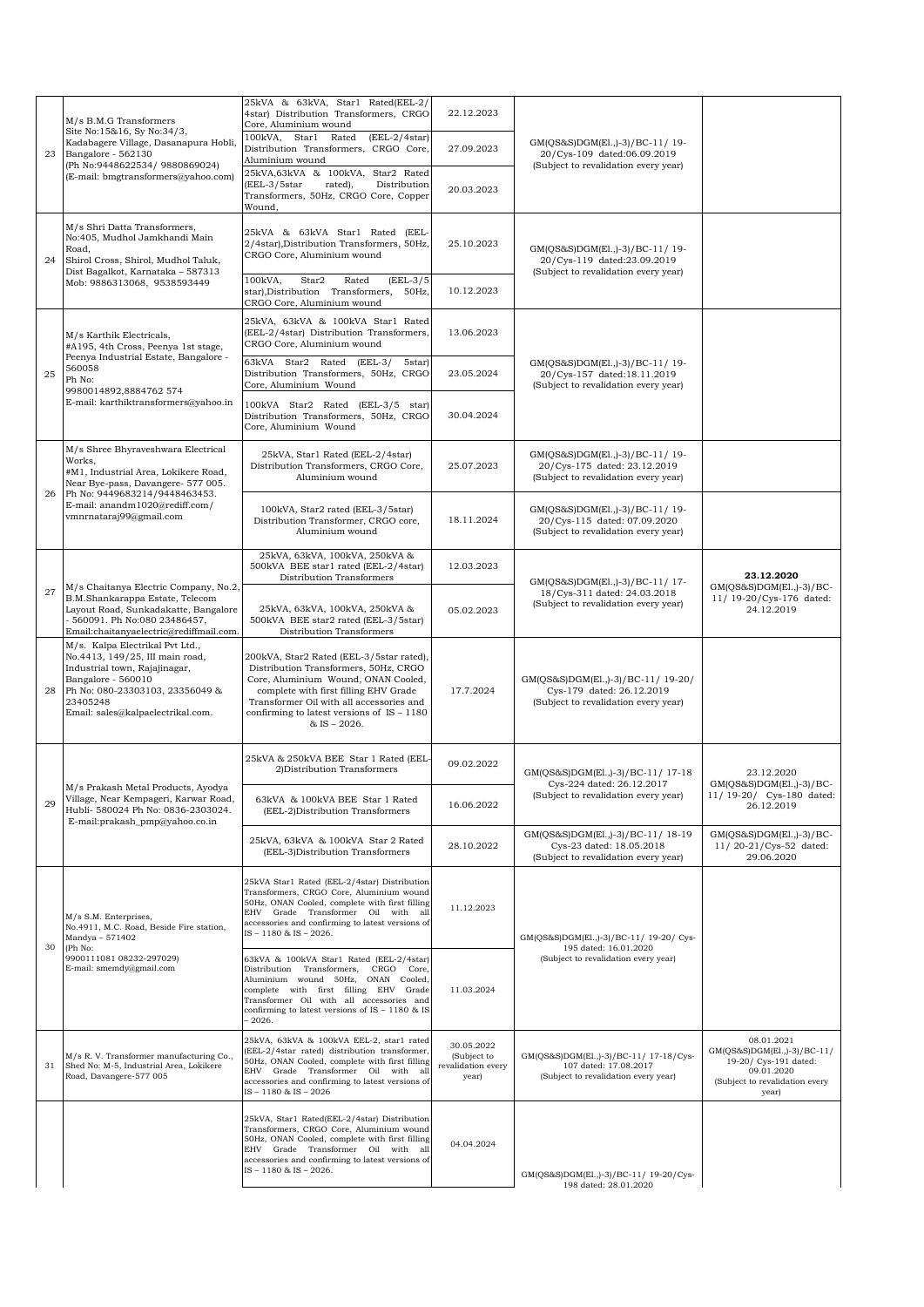|    | M/s B.M.G Transformers                                                                                                                                                                                                                                                                                                                                        | 25kVA & 63kVA, Star1 Rated(EEL-2/<br>4star) Distribution Transformers, CRGO<br>Core, Aluminium wound                                                                                                                                                                            | 22.12.2023                                               |                                                                                                         |                                                                                                                             |
|----|---------------------------------------------------------------------------------------------------------------------------------------------------------------------------------------------------------------------------------------------------------------------------------------------------------------------------------------------------------------|---------------------------------------------------------------------------------------------------------------------------------------------------------------------------------------------------------------------------------------------------------------------------------|----------------------------------------------------------|---------------------------------------------------------------------------------------------------------|-----------------------------------------------------------------------------------------------------------------------------|
| 23 | Site No:15&16, Sy No:34/3,<br>Kadabagere Village, Dasanapura Hobli,<br>Bangalore - 562130<br>(Ph No:9448622534/ 9880869024)<br>(E-mail: bmgtransformers@yahoo.com)<br>M/s Shri Datta Transformers,<br>No:405, Mudhol Jamkhandi Main<br>Road,<br>24<br>Shirol Cross, Shirol, Mudhol Taluk,<br>Dist Bagalkot, Karnataka - 587313<br>Mob: 9886313068, 9538593449 | 100kVA,<br>Star1 Rated<br>$(EEL-2/4star)$<br>Distribution Transformers, CRGO Core,<br>Aluminium wound                                                                                                                                                                           | 27.09.2023                                               | GM(QS&S)DGM(El.,)-3)/BC-11/19-<br>20/Cys-109 dated:06.09.2019                                           |                                                                                                                             |
|    |                                                                                                                                                                                                                                                                                                                                                               | 25kVA,63kVA & 100kVA, Star2 Rated<br>(EEL-3/5star<br>Distribution<br>rated),<br>Transformers, 50Hz, CRGO Core, Copper<br>Wound,                                                                                                                                                 | 20.03.2023                                               | (Subject to revalidation every year)                                                                    |                                                                                                                             |
|    |                                                                                                                                                                                                                                                                                                                                                               | 25kVA & 63kVA Star1 Rated (EEL-<br>2/4star), Distribution Transformers, 50Hz,<br>CRGO Core, Aluminium wound                                                                                                                                                                     | 25.10.2023                                               | GM(QS&S)DGM(El.,)-3)/BC-11/19-<br>20/Cys-119 dated:23.09.2019                                           |                                                                                                                             |
|    |                                                                                                                                                                                                                                                                                                                                                               | 100kVA.<br>Star2<br>Rated<br>$(EEL-3/5$<br>star), Distribution Transformers, 50Hz,<br>CRGO Core, Aluminium wound                                                                                                                                                                | 10.12.2023                                               | (Subject to revalidation every year)                                                                    |                                                                                                                             |
|    | M/s Karthik Electricals,<br>#A195, 4th Cross, Peenya 1st stage,                                                                                                                                                                                                                                                                                               | 25kVA, 63kVA & 100kVA Star1 Rated<br>(EEL-2/4star) Distribution Transformers,<br>CRGO Core, Aluminium wound                                                                                                                                                                     | 13.06.2023                                               |                                                                                                         |                                                                                                                             |
| 25 | Peenya Industrial Estate, Bangalore -<br>560058<br>Ph No:<br>9980014892,8884762 574                                                                                                                                                                                                                                                                           | 63kVA Star2 Rated (EEL-3/<br>5star)<br>Distribution Transformers, 50Hz, CRGO<br>Core, Aluminium Wound                                                                                                                                                                           | 23.05.2024                                               | GM(QS&S)DGM(El.,)-3)/BC-11/ 19-<br>20/Cys-157 dated:18.11.2019<br>(Subject to revalidation every year)  |                                                                                                                             |
|    | E-mail: karthiktransformers@yahoo.in                                                                                                                                                                                                                                                                                                                          | 100kVA Star2 Rated (EEL-3/5 star)<br>Distribution Transformers, 50Hz, CRGO<br>Core, Aluminium Wound                                                                                                                                                                             | 30.04.2024                                               |                                                                                                         |                                                                                                                             |
|    | M/s Shree Bhyraveshwara Electrical<br>Works,<br>#M1, Industrial Area, Lokikere Road,<br>Near Bye-pass, Davangere- 577 005.                                                                                                                                                                                                                                    | 25kVA, Star1 Rated (EEL-2/4star)<br>Distribution Transformers, CRGO Core,<br>Aluminium wound                                                                                                                                                                                    | 25.07.2023                                               | GM(QS&S)DGM(El.,)-3)/BC-11/19-<br>20/Cys-175 dated: 23.12.2019<br>(Subject to revalidation every year)  |                                                                                                                             |
| 26 | Ph No: 9449683214/9448463453.<br>E-mail: anandm1020@rediff.com/<br>vmnrnataraj99@gmail.com                                                                                                                                                                                                                                                                    | 100kVA, Star2 rated (EEL-3/5star)<br>Distribution Transformer, CRGO core,<br>Aluminium wound                                                                                                                                                                                    | 18.11.2024                                               | GM(QS&S)DGM(El.,)-3)/BC-11/19-<br>20/Cys-115 dated: 07.09.2020<br>(Subject to revalidation every year)  |                                                                                                                             |
|    |                                                                                                                                                                                                                                                                                                                                                               | 25kVA, 63kVA, 100kVA, 250kVA &<br>500kVA BEE star1 rated (EEL-2/4star)<br>Distribution Transformers                                                                                                                                                                             | 12.03.2023                                               | GM(QS&S)DGM(El.,)-3)/BC-11/17-                                                                          | 23.12.2020                                                                                                                  |
| 27 | M/s Chaitanya Electric Company, No.2,<br>B.M.Shankarappa Estate, Telecom<br>Layout Road, Sunkadakatte, Bangalore<br>- 560091. Ph No:080 23486457,<br>Email:chaitanyaelectric@rediffmail.com.                                                                                                                                                                  | 25kVA, 63kVA, 100kVA, 250kVA &<br>500kVA BEE star2 rated (EEL-3/5star)<br>Distribution Transformers                                                                                                                                                                             | 05.02.2023                                               | 18/Cys-311 dated: 24.03.2018<br>(Subject to revalidation every year)                                    | GM(QS&S)DGM(El.,)-3)/BC-<br>11/ 19-20/Cys-176 dated:<br>24.12.2019                                                          |
| 28 | M/s. Kalpa Electrikal Pvt Ltd.,<br>No.4413, 149/25, III main road,<br>Industrial town, Rajajinagar,<br>Bangalore - 560010<br>Ph No: 080-23303103, 23356049 &<br>23405248<br>Email: sales@kalpaelectrikal.com.                                                                                                                                                 | 200kVA, Star2 Rated (EEL-3/5star rated),<br>Distribution Transformers, 50Hz, CRGO<br>Core, Aluminium Wound, ONAN Cooled,<br>complete with first filling EHV Grade<br>Transformer Oil with all accessories and<br>confirming to latest versions of $IS - 1180$<br>$&$ IS - 2026. | 17.7.2024                                                | GM(QS&S)DGM(El.,)-3)/BC-11/ 19-20/<br>Cys-179 dated: 26.12.2019<br>(Subject to revalidation every year) |                                                                                                                             |
|    |                                                                                                                                                                                                                                                                                                                                                               | 25kVA & 250kVA BEE Star 1 Rated (EEL-<br>2) Distribution Transformers                                                                                                                                                                                                           | 09.02.2022                                               | GM(QS&S)DGM(El.,)-3)/BC-11/ 17-18                                                                       | 23.12.2020                                                                                                                  |
| 29 | M/s Prakash Metal Products, Ayodya<br>Village, Near Kempageri, Karwar Road,<br>Hubli- 580024 Ph No: 0836-2303024.<br>E-mail:prakash_pmp@yahoo.co.in                                                                                                                                                                                                           | 63kVA & 100kVA BEE Star 1 Rated<br>(EEL-2)Distribution Transformers                                                                                                                                                                                                             | 16.06.2022                                               | Cys-224 dated: 26.12.2017<br>(Subject to revalidation every year)                                       | $GM(QS&S)DGM(E1, -3)/BC-$<br>11/ 19-20/ Cys-180 dated:<br>26.12.2019                                                        |
|    |                                                                                                                                                                                                                                                                                                                                                               | 25kVA, 63kVA & 100kVA Star 2 Rated<br>(EEL-3)Distribution Transformers                                                                                                                                                                                                          | 28.10.2022                                               | GM(QS&S)DGM(El.,)-3)/BC-11/ 18-19<br>Cys-23 dated: 18.05.2018<br>(Subject to revalidation every year)   | GM(QS&S)DGM(El.,)-3)/BC-<br>11/20-21/Cys-52 dated:<br>29.06.2020                                                            |
|    | M/s S.M. Enterprises,<br>No.4911, M.C. Road, Beside Fire station,<br>Mandya - 571402                                                                                                                                                                                                                                                                          | 25kVA Star1 Rated (EEL-2/4star) Distribution<br>Transformers, CRGO Core, Aluminium wound<br>50Hz, ONAN Cooled, complete with first filling<br>EHV Grade Transformer Oil with all<br>accessories and confirming to latest versions of<br>IS-1180 & IS-2026.                      | 11.12.2023                                               | GM(QS&S)DGM(El.,)-3)/BC-11/ 19-20/ Cys-                                                                 |                                                                                                                             |
|    | 30<br>(Ph No:<br>9900111081 08232-297029)<br>E-mail: smemdy@gmail.com                                                                                                                                                                                                                                                                                         | 63kVA & 100kVA Star1 Rated (EEL-2/4star)<br>Distribution Transformers, CRGO Core,<br>Aluminium wound 50Hz, ONAN Cooled,<br>complete with first filling EHV Grade<br>Transformer Oil with all accessories and<br>confirming to latest versions of IS - 1180 & IS<br>$-2026.$     | 11.03.2024                                               | 195 dated: 16.01.2020<br>(Subject to revalidation every year)                                           |                                                                                                                             |
| 31 | M/s R. V. Transformer manufacturing Co.,<br>Shed No: M-5, Industrial Area, Lokikere<br>Road, Davangere-577 005                                                                                                                                                                                                                                                | 25kVA, 63kVA & 100kVA EEL-2, star1 rated<br>(EEL-2/4star rated) distribution transformer,<br>50Hz, ONAN Cooled, complete with first filling<br>EHV Grade Transformer Oil with all<br>accessories and confirming to latest versions of<br>IS-1180 & IS-2026                      | 30.05.2022<br>(Subject to<br>revalidation every<br>year) | GM(QS&S)DGM(El.,)-3)/BC-11/ 17-18/Cys-<br>107 dated: 17.08.2017<br>(Subject to revalidation every year) | 08.01.2021<br>GM(QS&S)DGM(El.,)-3)/BC-11/<br>19-20/ Cys-191 dated:<br>09.01.2020<br>(Subject to revalidation every<br>year) |
|    |                                                                                                                                                                                                                                                                                                                                                               | 25kVA, Star1 Rated(EEL-2/4star) Distribution<br>Transformers, CRGO Core, Aluminium wound<br>50Hz, ONAN Cooled, complete with first filling<br>EHV Grade Transformer Oil with all<br>accessories and confirming to latest versions of<br>IS-1180 & IS-2026.                      | 04.04.2024                                               | GM(QS&S)DGM(El.,)-3)/BC-11/ 19-20/Cys-<br>198 dated: 28.01.2020                                         |                                                                                                                             |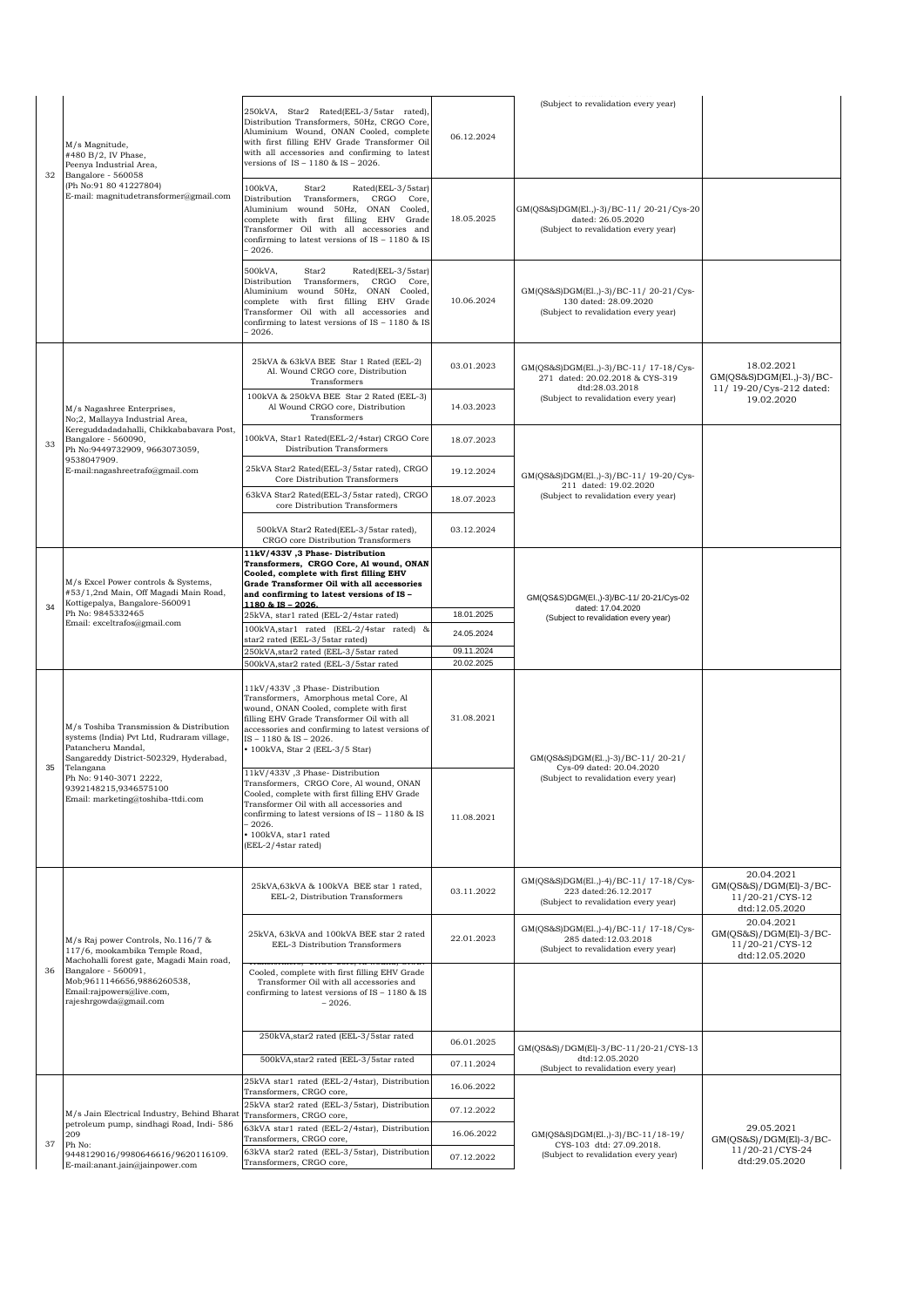| 32 | M/s Magnitude,<br>#480 B/2, IV Phase,<br>Peenya Industrial Area,<br>Bangalore - 560058<br>(Ph No:91 80 41227804)<br>E-mail: magnitudetransformer@gmail.com                                                                    | 250kVA, Star2 Rated(EEL-3/5star rated),<br>Distribution Transformers, 50Hz, CRGO Core,<br>Aluminium Wound, ONAN Cooled, complete<br>with first filling EHV Grade Transformer Oil<br>with all accessories and confirming to latest<br>versions of IS - 1180 & IS - 2026.                | 06.12.2024               | (Subject to revalidation every year)                                                                   |                                                                           |
|----|-------------------------------------------------------------------------------------------------------------------------------------------------------------------------------------------------------------------------------|----------------------------------------------------------------------------------------------------------------------------------------------------------------------------------------------------------------------------------------------------------------------------------------|--------------------------|--------------------------------------------------------------------------------------------------------|---------------------------------------------------------------------------|
|    |                                                                                                                                                                                                                               | 100kVA,<br>Star2<br>Rated(EEL-3/5star)<br>Distribution Transformers, CRGO Core,<br>Aluminium wound 50Hz, ONAN Cooled,<br>complete with first filling EHV Grade<br>Transformer Oil with all accessories and<br>confirming to latest versions of IS - 1180 & IS<br>$-2026.$              | 18.05.2025               | GM(QS&S)DGM(El.,)-3)/BC-11/20-21/Cys-20<br>dated: 26.05.2020<br>(Subject to revalidation every year)   |                                                                           |
|    |                                                                                                                                                                                                                               | 500kVA,<br>Rated(EEL-3/5star)<br>Star2<br>Distribution Transformers, CRGO Core,<br>Aluminium wound 50Hz, ONAN Cooled,<br>complete with first filling EHV Grade<br>Transformer Oil with all accessories and<br>confirming to latest versions of IS - 1180 & IS<br>$-2026.$              | 10.06.2024               | GM(QS&S)DGM(El.,)-3)/BC-11/20-21/Cys-<br>130 dated: 28.09.2020<br>(Subject to revalidation every year) |                                                                           |
|    |                                                                                                                                                                                                                               | 25kVA & 63kVA BEE Star 1 Rated (EEL-2)<br>Al. Wound CRGO core, Distribution<br>Transformers                                                                                                                                                                                            | 03.01.2023               | GM(QS&S)DGM(El.,)-3)/BC-11/ 17-18/Cys-<br>271 dated: 20.02.2018 & CYS-319                              | 18.02.2021<br>$GM(QS&S)DGM(E1.,-3)/BC-$                                   |
|    | M/s Nagashree Enterprises,<br>No;2, Mallayya Industrial Area,                                                                                                                                                                 | 100kVA & 250kVA BEE Star 2 Rated (EEL-3)<br>Al Wound CRGO core, Distribution<br>Transformers                                                                                                                                                                                           | 14.03.2023               | dtd:28.03.2018<br>(Subject to revalidation every year)                                                 | 11/ 19-20/Cys-212 dated:<br>19.02.2020                                    |
| 33 | Kereguddadadahalli, Chikkababavara Post,<br>Bangalore - 560090,<br>Ph No:9449732909, 9663073059,                                                                                                                              | 100kVA, Star1 Rated(EEL-2/4star) CRGO Core<br>Distribution Transformers                                                                                                                                                                                                                | 18.07.2023               |                                                                                                        |                                                                           |
|    | 9538047909.<br>E-mail:nagashreetrafo@gmail.com                                                                                                                                                                                | 25kVA Star2 Rated(EEL-3/5star rated), CRGO<br>Core Distribution Transformers                                                                                                                                                                                                           | 19.12.2024               | GM(QS&S)DGM(El.,)-3)/BC-11/ 19-20/Cys-<br>211 dated: 19.02.2020                                        |                                                                           |
|    |                                                                                                                                                                                                                               | 63kVA Star2 Rated(EEL-3/5star rated), CRGO<br>core Distribution Transformers                                                                                                                                                                                                           | 18.07.2023               | (Subject to revalidation every year)                                                                   |                                                                           |
|    |                                                                                                                                                                                                                               | 500kVA Star2 Rated(EEL-3/5star rated),<br>CRGO core Distribution Transformers                                                                                                                                                                                                          | 03.12.2024               |                                                                                                        |                                                                           |
|    | M/s Excel Power controls & Systems,<br>#53/1,2nd Main, Off Magadi Main Road,                                                                                                                                                  | 11kV/433V, 3 Phase-Distribution<br>Transformers, CRGO Core, Al wound, ONAN<br>Cooled, complete with first filling EHV<br>Grade Transformer Oil with all accessories<br>and confirming to latest versions of IS -                                                                       |                          | GM(QS&S)DGM(EI.,)-3)/BC-11/20-21/Cys-02                                                                |                                                                           |
| 34 | Kottigepalya, Bangalore-560091<br>Ph No: 9845332465<br>Email: exceltrafos@gmail.com                                                                                                                                           | 1180 & IS - 2026.<br>25kVA, star1 rated (EEL-2/4star rated)                                                                                                                                                                                                                            | 18.01.2025               | dated: 17.04.2020<br>(Subject to revalidation every year)                                              |                                                                           |
|    |                                                                                                                                                                                                                               | 100kVA, star1 rated (EEL-2/4star rated) &                                                                                                                                                                                                                                              | 24.05.2024               |                                                                                                        |                                                                           |
|    |                                                                                                                                                                                                                               | star2 rated (EEL-3/5star rated)<br>250kVA, star2 rated (EEL-3/5star rated                                                                                                                                                                                                              | 09.11.2024               |                                                                                                        |                                                                           |
|    |                                                                                                                                                                                                                               | 500kVA, star2 rated (EEL-3/5star rated                                                                                                                                                                                                                                                 | 20.02.2025               |                                                                                                        |                                                                           |
|    | M/s Toshiba Transmission & Distribution<br>systems (India) Pvt Ltd, Rudraram village,<br>Patancheru Mandal,<br>Sangareddy District-502329, Hyderabad,                                                                         | 11kV/433V, 3 Phase-Distribution<br>Transformers, Amorphous metal Core, Al<br>wound, ONAN Cooled, complete with first<br>filling EHV Grade Transformer Oil with all<br>accessories and confirming to latest versions of<br>IS-1180 & IS-2026.<br>• 100kVA, Star 2 (EEL-3/5 Star)        | 31.08.2021               | GM(OS&S)DGM(El.,)-3)/BC-11/20-21/                                                                      |                                                                           |
| 35 | Telangana<br>Ph No: 9140-3071 2222,<br>9392148215,9346575100<br>Email: marketing@toshiba-ttdi.com                                                                                                                             | 11kV/433V, 3 Phase-Distribution<br>Transformers, CRGO Core, Al wound, ONAN<br>Cooled, complete with first filling EHV Grade<br>Transformer Oil with all accessories and<br>confirming to latest versions of IS - 1180 & IS<br>$-2026.$<br>· 100kVA, star1 rated<br>(EEL-2/4star rated) | 11.08.2021               | Cys-09 dated: 20.04.2020<br>(Subject to revalidation every year)                                       |                                                                           |
|    |                                                                                                                                                                                                                               | 25kVA,63kVA & 100kVA BEE star 1 rated,<br>EEL-2, Distribution Transformers                                                                                                                                                                                                             | 03.11.2022               | GM(QS&S)DGM(El.,)-4)/BC-11/ 17-18/Cys-<br>223 dated:26.12.2017<br>(Subject to revalidation every year) | 20.04.2021<br>GM(QS&S)/DGM(El)-3/BC-<br>11/20-21/CYS-12<br>dtd:12.05.2020 |
|    | M/s Raj power Controls, No.116/7 &<br>117/6, mookambika Temple Road,<br>Machohalli forest gate, Magadi Main road,<br>Bangalore - 560091.<br>Mob;9611146656,9886260538,<br>Email:rajpowers@live.com,<br>rajeshrgowda@gmail.com | 25kVA, 63kVA and 100kVA BEE star 2 rated<br>EEL-3 Distribution Transformers                                                                                                                                                                                                            | 22.01.2023               | GM(QS&S)DGM(El.,)-4)/BC-11/ 17-18/Cvs-<br>285 dated:12.03.2018<br>(Subject to revalidation every year) | 20.04.2021<br>GM(QS&S)/DGM(El)-3/BC-<br>11/20-21/CYS-12<br>dtd:12.05.2020 |
| 36 |                                                                                                                                                                                                                               | Cooled, complete with first filling EHV Grade<br>Transformer Oil with all accessories and<br>confirming to latest versions of IS - 1180 & IS<br>$-2026.$                                                                                                                               |                          |                                                                                                        |                                                                           |
|    |                                                                                                                                                                                                                               | 250kVA, star2 rated (EEL-3/5star rated                                                                                                                                                                                                                                                 | 06.01.2025               |                                                                                                        |                                                                           |
|    |                                                                                                                                                                                                                               | 500kVA, star2 rated (EEL-3/5star rated                                                                                                                                                                                                                                                 | 07.11.2024               | GM(QS&S)/DGM(El)-3/BC-11/20-21/CYS-13<br>dtd:12.05.2020<br>(Subject to revalidation every year)        |                                                                           |
|    |                                                                                                                                                                                                                               | 25kVA star1 rated (EEL-2/4star), Distribution<br>Transformers, CRGO core,                                                                                                                                                                                                              | 16.06.2022               |                                                                                                        |                                                                           |
|    |                                                                                                                                                                                                                               | 25kVA star2 rated (EEL-3/5star), Distribution                                                                                                                                                                                                                                          | 07.12.2022               |                                                                                                        |                                                                           |
|    | M/s Jain Electrical Industry, Behind Bharat<br>petroleum pump, sindhagi Road, Indi- 586                                                                                                                                       | Transformers, CRGO core,<br>63kVA star1 rated (EEL-2/4star), Distribution                                                                                                                                                                                                              |                          | GM(QS&S)DGM(El.,)-3)/BC-11/18-19/<br>CYS-103 dtd: 27.09.2018.<br>(Subject to revalidation every year)  | 29.05.2021                                                                |
| 37 | 209<br>Ph No:<br>9448129016/9980646616/9620116109.                                                                                                                                                                            | Transformers, CRGO core,<br>63kVA star2 rated (EEL-3/5star), Distribution                                                                                                                                                                                                              | 16.06.2022<br>07.12.2022 |                                                                                                        | $GM(QS&S)/DGM(EI)-3/BC-$<br>11/20-21/CYS-24                               |
|    | E-mail:anant.jain@jainpower.com                                                                                                                                                                                               | Transformers, CRGO core,                                                                                                                                                                                                                                                               |                          |                                                                                                        | dtd:29.05.2020                                                            |